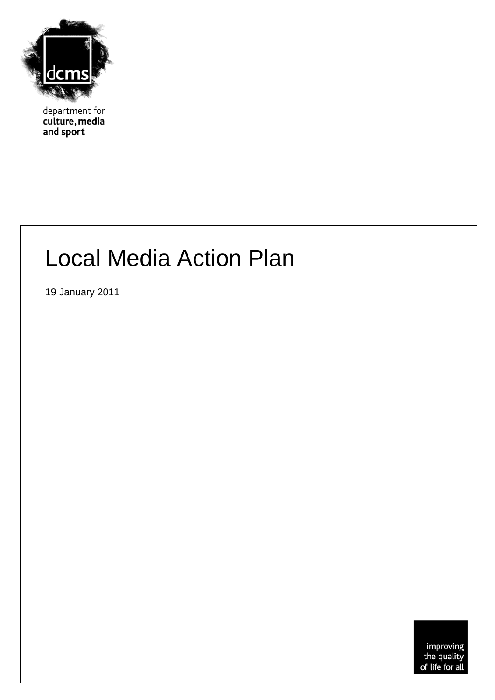

department for<br>culture, media<br>and sport

# Local Media Action Plan

19 January 2011

improving<br>the quality<br>of life for all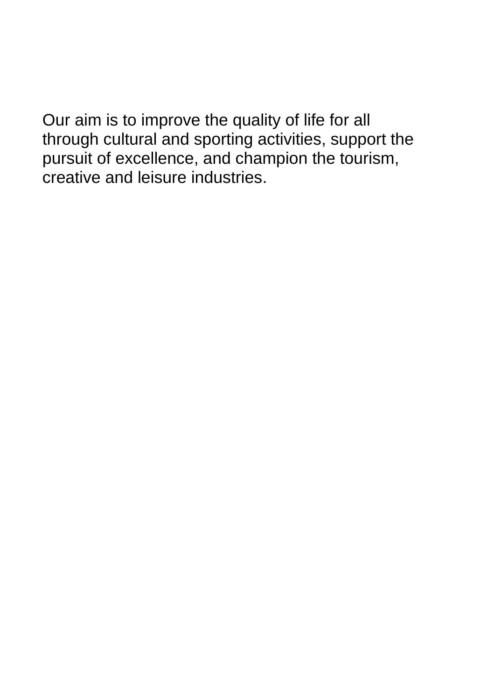Our aim is to improve the quality of life for all through cultural and sporting activities, support the pursuit of excellence, and champion the tourism, creative and leisure industries.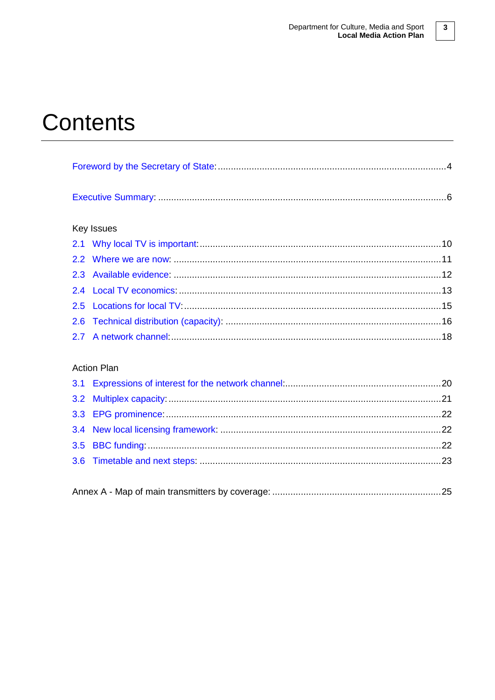$\overline{\mathbf{3}}$ 

# **Contents**

| <b>Key Issues</b> |  |  |  |  |  |
|-------------------|--|--|--|--|--|
|                   |  |  |  |  |  |
|                   |  |  |  |  |  |
|                   |  |  |  |  |  |
|                   |  |  |  |  |  |
|                   |  |  |  |  |  |
|                   |  |  |  |  |  |
|                   |  |  |  |  |  |

## **Action Plan**

|--|--|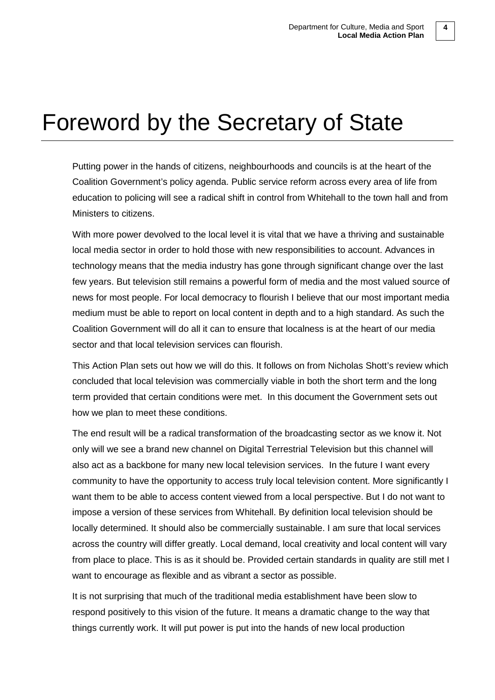#### **4**

# <span id="page-3-0"></span>Foreword by the Secretary of State

Putting power in the hands of citizens, neighbourhoods and councils is at the heart of the Coalition Government's policy agenda. Public service reform across every area of life from education to policing will see a radical shift in control from Whitehall to the town hall and from Ministers to citizens.

With more power devolved to the local level it is vital that we have a thriving and sustainable local media sector in order to hold those with new responsibilities to account. Advances in technology means that the media industry has gone through significant change over the last few years. But television still remains a powerful form of media and the most valued source of news for most people. For local democracy to flourish I believe that our most important media medium must be able to report on local content in depth and to a high standard. As such the Coalition Government will do all it can to ensure that localness is at the heart of our media sector and that local television services can flourish.

This Action Plan sets out how we will do this. It follows on from Nicholas Shott's review which concluded that local television was commercially viable in both the short term and the long term provided that certain conditions were met. In this document the Government sets out how we plan to meet these conditions.

The end result will be a radical transformation of the broadcasting sector as we know it. Not only will we see a brand new channel on Digital Terrestrial Television but this channel will also act as a backbone for many new local television services.In the future I want every community to have the opportunity to access truly local television content. More significantly I want them to be able to access content viewed from a local perspective. But I do not want to impose a version of these services from Whitehall. By definition local television should be locally determined. It should also be commercially sustainable. I am sure that local services across the country will differ greatly. Local demand, local creativity and local content will vary from place to place. This is as it should be. Provided certain standards in quality are still met I want to encourage as flexible and as vibrant a sector as possible.

It is not surprising that much of the traditional media establishment have been slow to respond positively to this vision of the future. It means a dramatic change to the way that things currently work. It will put power is put into the hands of new local production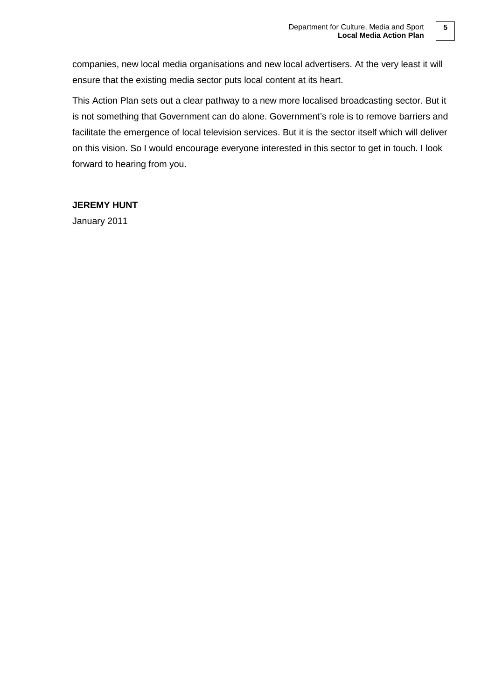companies, new local media organisations and new local advertisers. At the very least it will ensure that the existing media sector puts local content at its heart.

This Action Plan sets out a clear pathway to a new more localised broadcasting sector. But it is not something that Government can do alone. Government's role is to remove barriers and facilitate the emergence of local television services. But it is the sector itself which will deliver on this vision. So I would encourage everyone interested in this sector to get in touch. I look forward to hearing from you.

### **JEREMY HUNT**

January 2011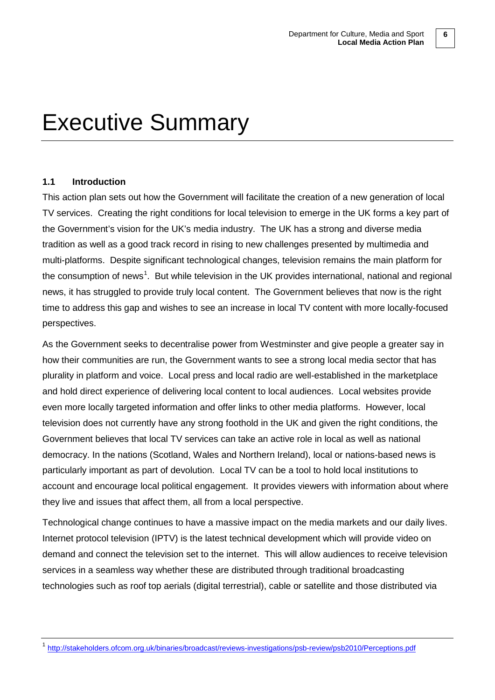# <span id="page-5-0"></span>Executive Summary

### **1.1 Introduction**

This action plan sets out how the Government will facilitate the creation of a new generation of local TV services. Creating the right conditions for local television to emerge in the UK forms a key part of the Government's vision for the UK's media industry. The UK has a strong and diverse media tradition as well as a good track record in rising to new challenges presented by multimedia and multi-platforms. Despite significant technological changes, television remains the main platform for the consumption of news<sup>[1](#page-5-1)</sup>. But while television in the UK provides international, national and regional news, it has struggled to provide truly local content. The Government believes that now is the right time to address this gap and wishes to see an increase in local TV content with more locally-focused perspectives.

As the Government seeks to decentralise power from Westminster and give people a greater say in how their communities are run, the Government wants to see a strong local media sector that has plurality in platform and voice. Local press and local radio are well-established in the marketplace and hold direct experience of delivering local content to local audiences. Local websites provide even more locally targeted information and offer links to other media platforms. However, local television does not currently have any strong foothold in the UK and given the right conditions, the Government believes that local TV services can take an active role in local as well as national democracy. In the nations (Scotland, Wales and Northern Ireland), local or nations-based news is particularly important as part of devolution. Local TV can be a tool to hold local institutions to account and encourage local political engagement. It provides viewers with information about where they live and issues that affect them, all from a local perspective.

Technological change continues to have a massive impact on the media markets and our daily lives. Internet protocol television (IPTV) is the latest technical development which will provide video on demand and connect the television set to the internet. This will allow audiences to receive television services in a seamless way whether these are distributed through traditional broadcasting technologies such as roof top aerials (digital terrestrial), cable or satellite and those distributed via

<span id="page-5-1"></span><sup>1</sup> <http://stakeholders.ofcom.org.uk/binaries/broadcast/reviews-investigations/psb-review/psb2010/Perceptions.pdf>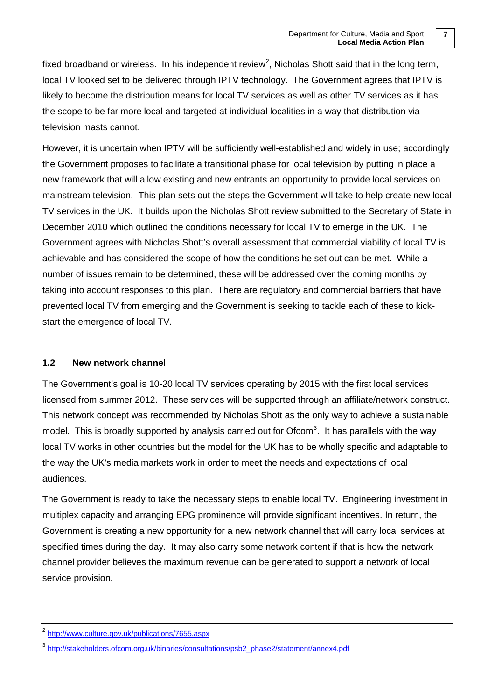fixed broadband or wireless. In his independent review<sup>[2](#page-6-0)</sup>, Nicholas Shott said that in the long term, local TV looked set to be delivered through IPTV technology. The Government agrees that IPTV is likely to become the distribution means for local TV services as well as other TV services as it has the scope to be far more local and targeted at individual localities in a way that distribution via television masts cannot.

However, it is uncertain when IPTV will be sufficiently well-established and widely in use; accordingly the Government proposes to facilitate a transitional phase for local television by putting in place a new framework that will allow existing and new entrants an opportunity to provide local services on mainstream television. This plan sets out the steps the Government will take to help create new local TV services in the UK. It builds upon the Nicholas Shott review submitted to the Secretary of State in December 2010 which outlined the conditions necessary for local TV to emerge in the UK. The Government agrees with Nicholas Shott's overall assessment that commercial viability of local TV is achievable and has considered the scope of how the conditions he set out can be met. While a number of issues remain to be determined, these will be addressed over the coming months by taking into account responses to this plan. There are regulatory and commercial barriers that have prevented local TV from emerging and the Government is seeking to tackle each of these to kickstart the emergence of local TV.

### **1.2 New network channel**

The Government's goal is 10-20 local TV services operating by 2015 with the first local services licensed from summer 2012. These services will be supported through an affiliate/network construct. This network concept was recommended by Nicholas Shott as the only way to achieve a sustainable model. This is broadly supported by analysis carried out for Ofcom<sup>[3](#page-6-1)</sup>. It has parallels with the way local TV works in other countries but the model for the UK has to be wholly specific and adaptable to the way the UK's media markets work in order to meet the needs and expectations of local audiences.

The Government is ready to take the necessary steps to enable local TV. Engineering investment in multiplex capacity and arranging EPG prominence will provide significant incentives. In return, the Government is creating a new opportunity for a new network channel that will carry local services at specified times during the day. It may also carry some network content if that is how the network channel provider believes the maximum revenue can be generated to support a network of local service provision.

<span id="page-6-0"></span><http://www.culture.gov.uk/publications/7655.aspx>

<span id="page-6-1"></span><sup>&</sup>lt;sup>3</sup> [http://stakeholders.ofcom.org.uk/binaries/consultations/psb2\\_phase2/statement/annex4.pdf](http://stakeholders.ofcom.org.uk/binaries/consultations/psb2_phase2/statement/annex4.pdf)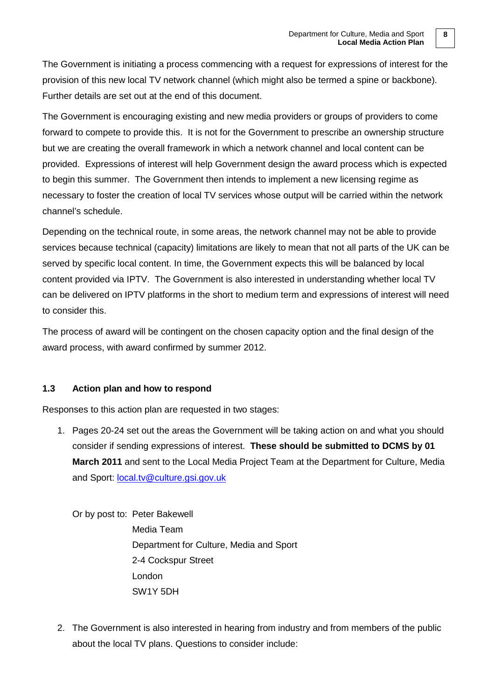The Government is initiating a process commencing with a request for expressions of interest for the provision of this new local TV network channel (which might also be termed a spine or backbone). Further details are set out at the end of this document.

The Government is encouraging existing and new media providers or groups of providers to come forward to compete to provide this. It is not for the Government to prescribe an ownership structure but we are creating the overall framework in which a network channel and local content can be provided. Expressions of interest will help Government design the award process which is expected to begin this summer. The Government then intends to implement a new licensing regime as necessary to foster the creation of local TV services whose output will be carried within the network channel's schedule.

Depending on the technical route, in some areas, the network channel may not be able to provide services because technical (capacity) limitations are likely to mean that not all parts of the UK can be served by specific local content. In time, the Government expects this will be balanced by local content provided via IPTV. The Government is also interested in understanding whether local TV can be delivered on IPTV platforms in the short to medium term and expressions of interest will need to consider this.

The process of award will be contingent on the chosen capacity option and the final design of the award process, with award confirmed by summer 2012.

### **1.3 Action plan and how to respond**

Responses to this action plan are requested in two stages:

1. Pages 20-24 set out the areas the Government will be taking action on and what you should consider if sending expressions of interest. **These should be submitted to DCMS by 01 March 2011** and sent to the Local Media Project Team at the Department for Culture, Media and Sport: [local.tv@culture.gsi.gov.uk](mailto:local.tv@culture.gsi.gov.uk)

Or by post to: Peter Bakewell Media Team Department for Culture, Media and Sport 2-4 Cockspur Street London SW1Y 5DH

2. The Government is also interested in hearing from industry and from members of the public about the local TV plans. Questions to consider include: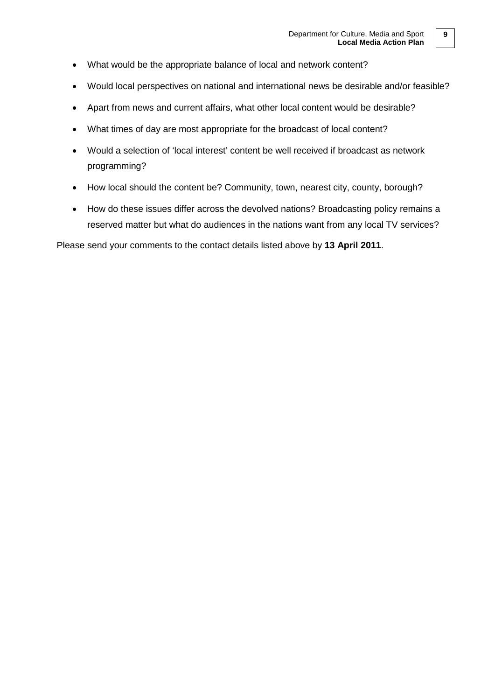- What would be the appropriate balance of local and network content?
- Would local perspectives on national and international news be desirable and/or feasible?
- Apart from news and current affairs, what other local content would be desirable?
- What times of day are most appropriate for the broadcast of local content?
- Would a selection of 'local interest' content be well received if broadcast as network programming?
- How local should the content be? Community, town, nearest city, county, borough?
- How do these issues differ across the devolved nations? Broadcasting policy remains a reserved matter but what do audiences in the nations want from any local TV services?

Please send your comments to the contact details listed above by **13 April 2011**.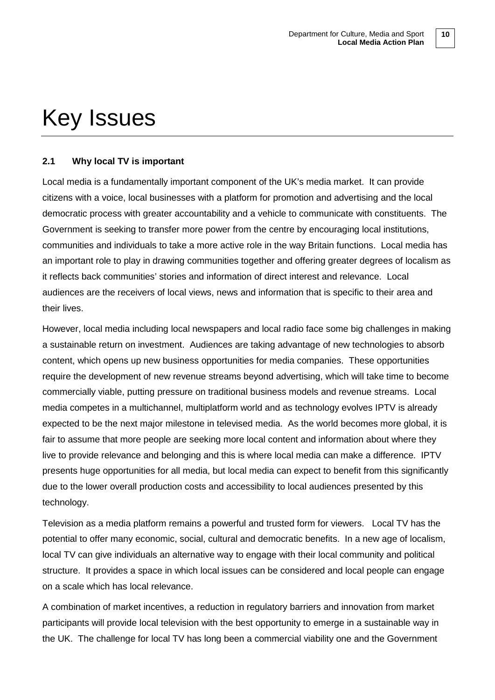# Key Issues

### <span id="page-9-0"></span>**2.1 Why local TV is important**

Local media is a fundamentally important component of the UK's media market. It can provide citizens with a voice, local businesses with a platform for promotion and advertising and the local democratic process with greater accountability and a vehicle to communicate with constituents. The Government is seeking to transfer more power from the centre by encouraging local institutions, communities and individuals to take a more active role in the way Britain functions. Local media has an important role to play in drawing communities together and offering greater degrees of localism as it reflects back communities' stories and information of direct interest and relevance. Local audiences are the receivers of local views, news and information that is specific to their area and their lives.

However, local media including local newspapers and local radio face some big challenges in making a sustainable return on investment. Audiences are taking advantage of new technologies to absorb content, which opens up new business opportunities for media companies. These opportunities require the development of new revenue streams beyond advertising, which will take time to become commercially viable, putting pressure on traditional business models and revenue streams. Local media competes in a multichannel, multiplatform world and as technology evolves IPTV is already expected to be the next major milestone in televised media. As the world becomes more global, it is fair to assume that more people are seeking more local content and information about where they live to provide relevance and belonging and this is where local media can make a difference. IPTV presents huge opportunities for all media, but local media can expect to benefit from this significantly due to the lower overall production costs and accessibility to local audiences presented by this technology.

Television as a media platform remains a powerful and trusted form for viewers. Local TV has the potential to offer many economic, social, cultural and democratic benefits. In a new age of localism, local TV can give individuals an alternative way to engage with their local community and political structure. It provides a space in which local issues can be considered and local people can engage on a scale which has local relevance.

A combination of market incentives, a reduction in regulatory barriers and innovation from market participants will provide local television with the best opportunity to emerge in a sustainable way in the UK. The challenge for local TV has long been a commercial viability one and the Government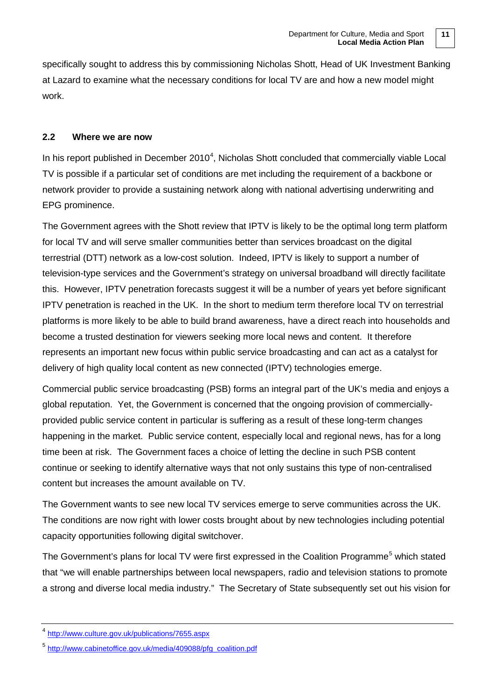specifically sought to address this by commissioning Nicholas Shott, Head of UK Investment Banking at Lazard to examine what the necessary conditions for local TV are and how a new model might work.

## <span id="page-10-0"></span>**2.2 Where we are now**

In his report published in December 2010<sup>[4](#page-10-1)</sup>, Nicholas Shott concluded that commercially viable Local TV is possible if a particular set of conditions are met including the requirement of a backbone or network provider to provide a sustaining network along with national advertising underwriting and EPG prominence.

The Government agrees with the Shott review that IPTV is likely to be the optimal long term platform for local TV and will serve smaller communities better than services broadcast on the digital terrestrial (DTT) network as a low-cost solution. Indeed, IPTV is likely to support a number of television-type services and the Government's strategy on universal broadband will directly facilitate this. However, IPTV penetration forecasts suggest it will be a number of years yet before significant IPTV penetration is reached in the UK. In the short to medium term therefore local TV on terrestrial platforms is more likely to be able to build brand awareness, have a direct reach into households and become a trusted destination for viewers seeking more local news and content. It therefore represents an important new focus within public service broadcasting and can act as a catalyst for delivery of high quality local content as new connected (IPTV) technologies emerge.

Commercial public service broadcasting (PSB) forms an integral part of the UK's media and enjoys a global reputation. Yet, the Government is concerned that the ongoing provision of commerciallyprovided public service content in particular is suffering as a result of these long-term changes happening in the market. Public service content, especially local and regional news, has for a long time been at risk. The Government faces a choice of letting the decline in such PSB content continue or seeking to identify alternative ways that not only sustains this type of non-centralised content but increases the amount available on TV.

The Government wants to see new local TV services emerge to serve communities across the UK. The conditions are now right with lower costs brought about by new technologies including potential capacity opportunities following digital switchover.

The Government's plans for local TV were first expressed in the Coalition Programme<sup>[5](#page-10-2)</sup> which stated that "we will enable partnerships between local newspapers, radio and television stations to promote a strong and diverse local media industry." The Secretary of State subsequently set out his vision for

<span id="page-10-1"></span><sup>4</sup> <http://www.culture.gov.uk/publications/7655.aspx>

<span id="page-10-2"></span><sup>&</sup>lt;sup>5</sup> [http://www.cabinetoffice.gov.uk/media/409088/pfg\\_coalition.pdf](http://www.cabinetoffice.gov.uk/media/409088/pfg_coalition.pdf)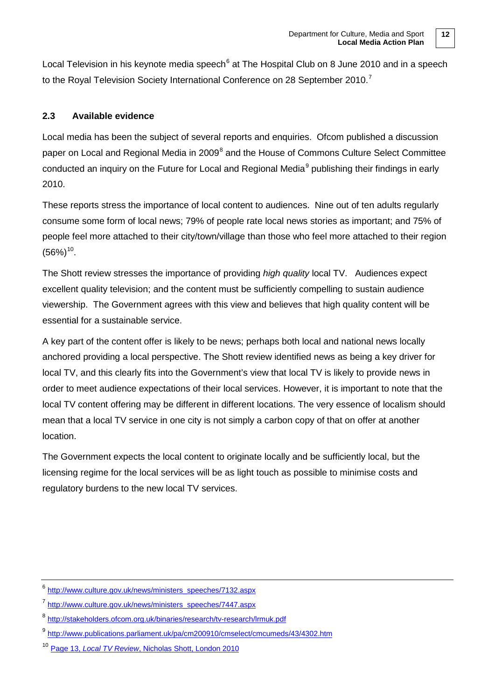Local Television in his keynote media speech<sup>[6](#page-11-2)</sup> at The Hospital Club on 8 June 2010 and in a speech to the Royal Television Society International Conference on 28 September 2010.<sup>[7](#page-11-3)</sup>

## <span id="page-11-0"></span>**2.3 Available evidence**

Local media has been the subject of several reports and enquiries. Ofcom published a discussion paper on Local and Regional Media in 2009<sup>[8](#page-11-4)</sup> and the House of Commons Culture Select Committee conducted an inquiry on the Future for Local and Regional Media<sup>[9](#page-11-5)</sup> publishing their findings in early 2010.

These reports stress the importance of local content to audiences. Nine out of ten adults regularly consume some form of local news; 79% of people rate local news stories as important; and 75% of people feel more attached to their city/town/village than those who feel more attached to their region  $(56\%)^{10}$  $(56\%)^{10}$  $(56\%)^{10}$ .

The Shott review stresses the importance of providing *high quality* local TV. Audiences expect excellent quality television; and the content must be sufficiently compelling to sustain audience viewership. The Government agrees with this view and believes that high quality content will be essential for a sustainable service.

A key part of the content offer is likely to be news; perhaps both local and national news locally anchored providing a local perspective. The Shott review identified news as being a key driver for local TV, and this clearly fits into the Government's view that local TV is likely to provide news in order to meet audience expectations of their local services. However, it is important to note that the local TV content offering may be different in different locations. The very essence of localism should mean that a local TV service in one city is not simply a carbon copy of that on offer at another location.

<span id="page-11-1"></span>The Government expects the local content to originate locally and be sufficiently local, but the licensing regime for the local services will be as light touch as possible to minimise costs and regulatory burdens to the new local TV services.

<span id="page-11-2"></span><sup>6</sup> [http://www.culture.gov.uk/news/ministers\\_speeches/7132.aspx](http://www.culture.gov.uk/news/ministers_speeches/7132.aspx)

<span id="page-11-3"></span><sup>7</sup> [http://www.culture.gov.uk/news/ministers\\_speeches/7447.aspx](http://www.culture.gov.uk/news/ministers_speeches/7447.aspx)

<span id="page-11-4"></span><sup>8</sup> <http://stakeholders.ofcom.org.uk/binaries/research/tv-research/lrmuk.pdf>

<span id="page-11-5"></span><sup>9</sup> <http://www.publications.parliament.uk/pa/cm200910/cmselect/cmcumeds/43/4302.htm>

<span id="page-11-6"></span><sup>10</sup> Page 13, *Local TV Review*[, Nicholas Shott, London 2010](http://www.culture.gov.uk/images/publications/Local-TV-Report-Dec10_FullReport.pdf)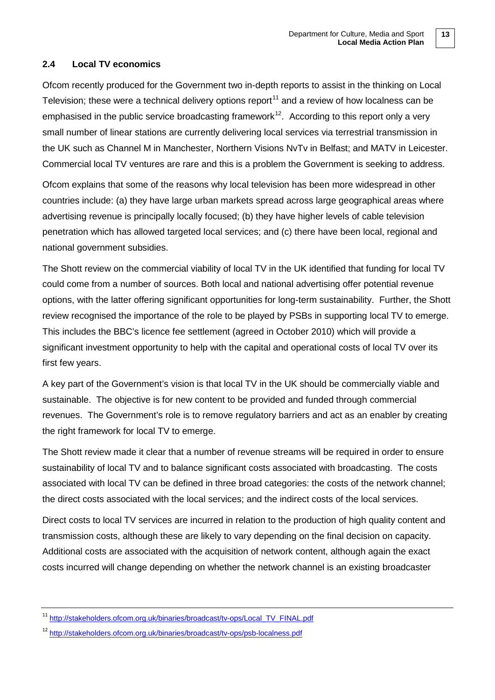### **2.4 Local TV economics**

Ofcom recently produced for the Government two in-depth reports to assist in the thinking on Local Television; these were a technical delivery options report<sup>[11](#page-12-0)</sup> and a review of how localness can be emphasised in the public service broadcasting framework<sup>[12](#page-12-1)</sup>. According to this report only a very small number of linear stations are currently delivering local services via terrestrial transmission in the UK such as Channel M in Manchester, Northern Visions NvTv in Belfast; and MATV in Leicester. Commercial local TV ventures are rare and this is a problem the Government is seeking to address.

Ofcom explains that some of the reasons why local television has been more widespread in other countries include: (a) they have large urban markets spread across large geographical areas where advertising revenue is principally locally focused; (b) they have higher levels of cable television penetration which has allowed targeted local services; and (c) there have been local, regional and national government subsidies.

The Shott review on the commercial viability of local TV in the UK identified that funding for local TV could come from a number of sources. Both local and national advertising offer potential revenue options, with the latter offering significant opportunities for long-term sustainability. Further, the Shott review recognised the importance of the role to be played by PSBs in supporting local TV to emerge. This includes the BBC's licence fee settlement (agreed in October 2010) which will provide a significant investment opportunity to help with the capital and operational costs of local TV over its first few years.

A key part of the Government's vision is that local TV in the UK should be commercially viable and sustainable. The objective is for new content to be provided and funded through commercial revenues. The Government's role is to remove regulatory barriers and act as an enabler by creating the right framework for local TV to emerge.

The Shott review made it clear that a number of revenue streams will be required in order to ensure sustainability of local TV and to balance significant costs associated with broadcasting. The costs associated with local TV can be defined in three broad categories: the costs of the network channel; the direct costs associated with the local services; and the indirect costs of the local services.

Direct costs to local TV services are incurred in relation to the production of high quality content and transmission costs, although these are likely to vary depending on the final decision on capacity. Additional costs are associated with the acquisition of network content, although again the exact costs incurred will change depending on whether the network channel is an existing broadcaster

<span id="page-12-0"></span><sup>11</sup> [http://stakeholders.ofcom.org.uk/binaries/broadcast/tv-ops/Local\\_TV\\_FINAL.pdf](http://stakeholders.ofcom.org.uk/binaries/broadcast/tv-ops/Local_TV_FINAL.pdf)

<span id="page-12-1"></span><sup>12</sup> <http://stakeholders.ofcom.org.uk/binaries/broadcast/tv-ops/psb-localness.pdf>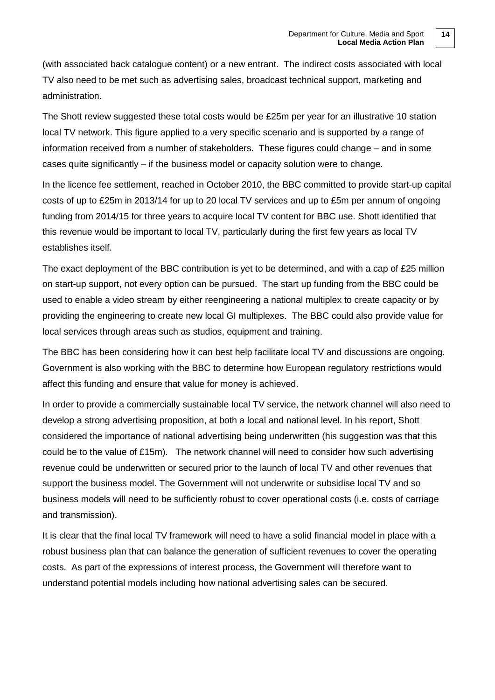(with associated back catalogue content) or a new entrant. The indirect costs associated with local TV also need to be met such as advertising sales, broadcast technical support, marketing and administration.

The Shott review suggested these total costs would be £25m per year for an illustrative 10 station local TV network. This figure applied to a very specific scenario and is supported by a range of information received from a number of stakeholders. These figures could change – and in some cases quite significantly – if the business model or capacity solution were to change.

In the licence fee settlement, reached in October 2010, the BBC committed to provide start-up capital costs of up to £25m in 2013/14 for up to 20 local TV services and up to £5m per annum of ongoing funding from 2014/15 for three years to acquire local TV content for BBC use. Shott identified that this revenue would be important to local TV, particularly during the first few years as local TV establishes itself.

The exact deployment of the BBC contribution is yet to be determined, and with a cap of £25 million on start-up support, not every option can be pursued. The start up funding from the BBC could be used to enable a video stream by either reengineering a national multiplex to create capacity or by providing the engineering to create new local GI multiplexes. The BBC could also provide value for local services through areas such as studios, equipment and training.

The BBC has been considering how it can best help facilitate local TV and discussions are ongoing. Government is also working with the BBC to determine how European regulatory restrictions would affect this funding and ensure that value for money is achieved.

In order to provide a commercially sustainable local TV service, the network channel will also need to develop a strong advertising proposition, at both a local and national level. In his report, Shott considered the importance of national advertising being underwritten (his suggestion was that this could be to the value of £15m). The network channel will need to consider how such advertising revenue could be underwritten or secured prior to the launch of local TV and other revenues that support the business model. The Government will not underwrite or subsidise local TV and so business models will need to be sufficiently robust to cover operational costs (i.e. costs of carriage and transmission).

It is clear that the final local TV framework will need to have a solid financial model in place with a robust business plan that can balance the generation of sufficient revenues to cover the operating costs. As part of the expressions of interest process, the Government will therefore want to understand potential models including how national advertising sales can be secured.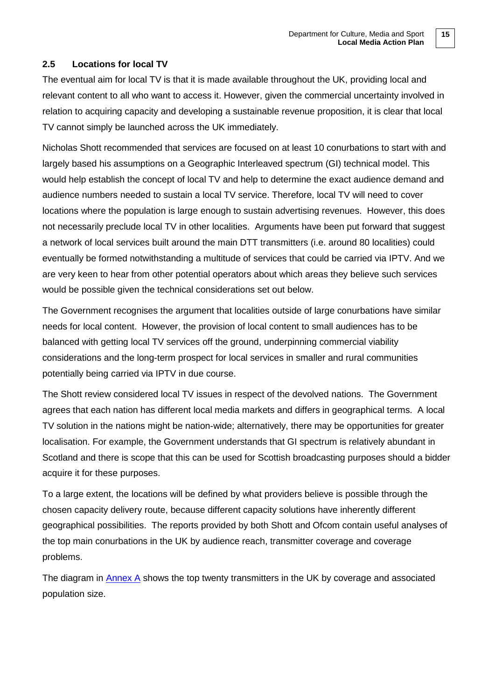## <span id="page-14-0"></span>**2.5 Locations for local TV**

The eventual aim for local TV is that it is made available throughout the UK, providing local and relevant content to all who want to access it. However, given the commercial uncertainty involved in relation to acquiring capacity and developing a sustainable revenue proposition, it is clear that local TV cannot simply be launched across the UK immediately.

Nicholas Shott recommended that services are focused on at least 10 conurbations to start with and largely based his assumptions on a Geographic Interleaved spectrum (GI) technical model. This would help establish the concept of local TV and help to determine the exact audience demand and audience numbers needed to sustain a local TV service. Therefore, local TV will need to cover locations where the population is large enough to sustain advertising revenues. However, this does not necessarily preclude local TV in other localities. Arguments have been put forward that suggest a network of local services built around the main DTT transmitters (i.e. around 80 localities) could eventually be formed notwithstanding a multitude of services that could be carried via IPTV. And we are very keen to hear from other potential operators about which areas they believe such services would be possible given the technical considerations set out below.

The Government recognises the argument that localities outside of large conurbations have similar needs for local content. However, the provision of local content to small audiences has to be balanced with getting local TV services off the ground, underpinning commercial viability considerations and the long-term prospect for local services in smaller and rural communities potentially being carried via IPTV in due course.

The Shott review considered local TV issues in respect of the devolved nations. The Government agrees that each nation has different local media markets and differs in geographical terms. A local TV solution in the nations might be nation-wide; alternatively, there may be opportunities for greater localisation. For example, the Government understands that GI spectrum is relatively abundant in Scotland and there is scope that this can be used for Scottish broadcasting purposes should a bidder acquire it for these purposes.

To a large extent, the locations will be defined by what providers believe is possible through the chosen capacity delivery route, because different capacity solutions have inherently different geographical possibilities. The reports provided by both Shott and Ofcom contain useful analyses of the top main conurbations in the UK by audience reach, transmitter coverage and coverage problems.

The diagram in [Annex A](#page-24-0) shows the top twenty transmitters in the UK by coverage and associated population size.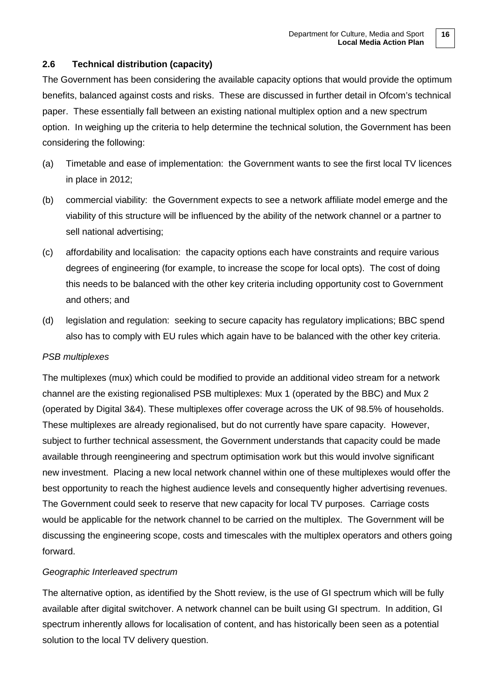## <span id="page-15-0"></span>**2.6 Technical distribution (capacity)**

The Government has been considering the available capacity options that would provide the optimum benefits, balanced against costs and risks. These are discussed in further detail in Ofcom's technical paper. These essentially fall between an existing national multiplex option and a new spectrum option. In weighing up the criteria to help determine the technical solution, the Government has been considering the following:

- (a) Timetable and ease of implementation: the Government wants to see the first local TV licences in place in 2012;
- (b) commercial viability: the Government expects to see a network affiliate model emerge and the viability of this structure will be influenced by the ability of the network channel or a partner to sell national advertising;
- (c) affordability and localisation: the capacity options each have constraints and require various degrees of engineering (for example, to increase the scope for local opts). The cost of doing this needs to be balanced with the other key criteria including opportunity cost to Government and others; and
- (d) legislation and regulation: seeking to secure capacity has regulatory implications; BBC spend also has to comply with EU rules which again have to be balanced with the other key criteria.

### *PSB multiplexes*

The multiplexes (mux) which could be modified to provide an additional video stream for a network channel are the existing regionalised PSB multiplexes: Mux 1 (operated by the BBC) and Mux 2 (operated by Digital 3&4). These multiplexes offer coverage across the UK of 98.5% of households. These multiplexes are already regionalised, but do not currently have spare capacity. However, subject to further technical assessment, the Government understands that capacity could be made available through reengineering and spectrum optimisation work but this would involve significant new investment. Placing a new local network channel within one of these multiplexes would offer the best opportunity to reach the highest audience levels and consequently higher advertising revenues. The Government could seek to reserve that new capacity for local TV purposes. Carriage costs would be applicable for the network channel to be carried on the multiplex. The Government will be discussing the engineering scope, costs and timescales with the multiplex operators and others going forward.

### *Geographic Interleaved spectrum*

The alternative option, as identified by the Shott review, is the use of GI spectrum which will be fully available after digital switchover. A network channel can be built using GI spectrum. In addition, GI spectrum inherently allows for localisation of content, and has historically been seen as a potential solution to the local TV delivery question.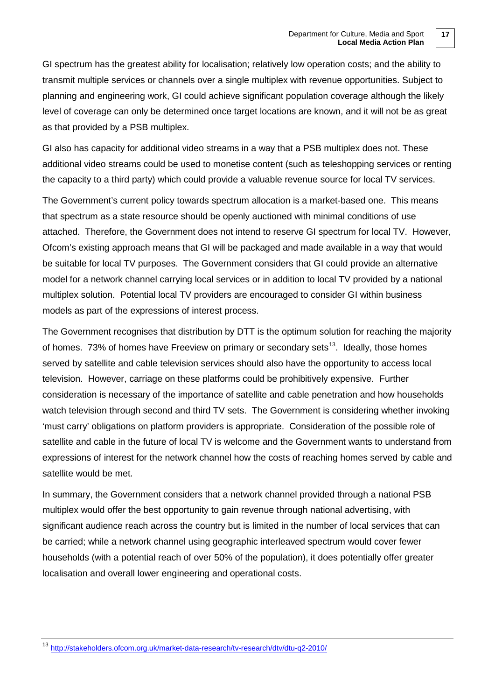GI spectrum has the greatest ability for localisation; relatively low operation costs; and the ability to transmit multiple services or channels over a single multiplex with revenue opportunities. Subject to planning and engineering work, GI could achieve significant population coverage although the likely level of coverage can only be determined once target locations are known, and it will not be as great as that provided by a PSB multiplex.

GI also has capacity for additional video streams in a way that a PSB multiplex does not. These additional video streams could be used to monetise content (such as teleshopping services or renting the capacity to a third party) which could provide a valuable revenue source for local TV services.

The Government's current policy towards spectrum allocation is a market-based one. This means that spectrum as a state resource should be openly auctioned with minimal conditions of use attached. Therefore, the Government does not intend to reserve GI spectrum for local TV. However, Ofcom's existing approach means that GI will be packaged and made available in a way that would be suitable for local TV purposes. The Government considers that GI could provide an alternative model for a network channel carrying local services or in addition to local TV provided by a national multiplex solution. Potential local TV providers are encouraged to consider GI within business models as part of the expressions of interest process.

The Government recognises that distribution by DTT is the optimum solution for reaching the majority of homes. 73% of homes have Freeview on primary or secondary sets<sup>[13](#page-16-0)</sup>. Ideally, those homes served by satellite and cable television services should also have the opportunity to access local television. However, carriage on these platforms could be prohibitively expensive. Further consideration is necessary of the importance of satellite and cable penetration and how households watch television through second and third TV sets. The Government is considering whether invoking 'must carry' obligations on platform providers is appropriate. Consideration of the possible role of satellite and cable in the future of local TV is welcome and the Government wants to understand from expressions of interest for the network channel how the costs of reaching homes served by cable and satellite would be met.

In summary, the Government considers that a network channel provided through a national PSB multiplex would offer the best opportunity to gain revenue through national advertising, with significant audience reach across the country but is limited in the number of local services that can be carried; while a network channel using geographic interleaved spectrum would cover fewer households (with a potential reach of over 50% of the population), it does potentially offer greater localisation and overall lower engineering and operational costs.

<span id="page-16-0"></span><sup>13</sup> <http://stakeholders.ofcom.org.uk/market-data-research/tv-research/dtv/dtu-q2-2010/>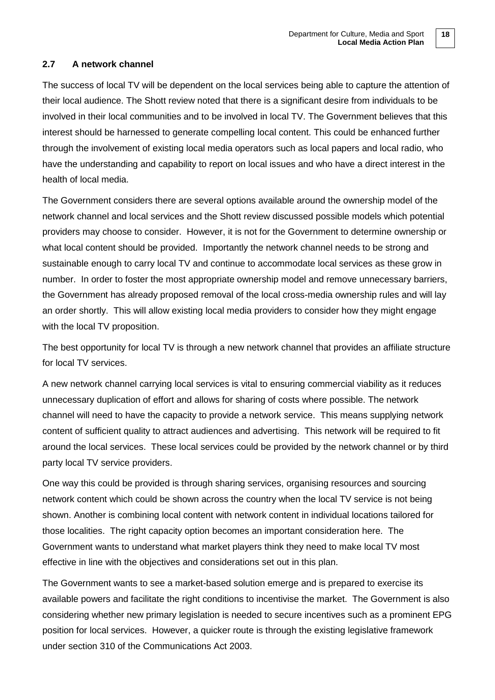## <span id="page-17-0"></span>**2.7 A network channel**

The success of local TV will be dependent on the local services being able to capture the attention of their local audience. The Shott review noted that there is a significant desire from individuals to be involved in their local communities and to be involved in local TV. The Government believes that this interest should be harnessed to generate compelling local content. This could be enhanced further through the involvement of existing local media operators such as local papers and local radio, who have the understanding and capability to report on local issues and who have a direct interest in the health of local media.

The Government considers there are several options available around the ownership model of the network channel and local services and the Shott review discussed possible models which potential providers may choose to consider. However, it is not for the Government to determine ownership or what local content should be provided. Importantly the network channel needs to be strong and sustainable enough to carry local TV and continue to accommodate local services as these grow in number. In order to foster the most appropriate ownership model and remove unnecessary barriers, the Government has already proposed removal of the local cross-media ownership rules and will lay an order shortly. This will allow existing local media providers to consider how they might engage with the local TV proposition.

The best opportunity for local TV is through a new network channel that provides an affiliate structure for local TV services.

A new network channel carrying local services is vital to ensuring commercial viability as it reduces unnecessary duplication of effort and allows for sharing of costs where possible. The network channel will need to have the capacity to provide a network service. This means supplying network content of sufficient quality to attract audiences and advertising. This network will be required to fit around the local services. These local services could be provided by the network channel or by third party local TV service providers.

One way this could be provided is through sharing services, organising resources and sourcing network content which could be shown across the country when the local TV service is not being shown. Another is combining local content with network content in individual locations tailored for those localities. The right capacity option becomes an important consideration here. The Government wants to understand what market players think they need to make local TV most effective in line with the objectives and considerations set out in this plan.

The Government wants to see a market-based solution emerge and is prepared to exercise its available powers and facilitate the right conditions to incentivise the market. The Government is also considering whether new primary legislation is needed to secure incentives such as a prominent EPG position for local services. However, a quicker route is through the existing legislative framework under section 310 of the Communications Act 2003.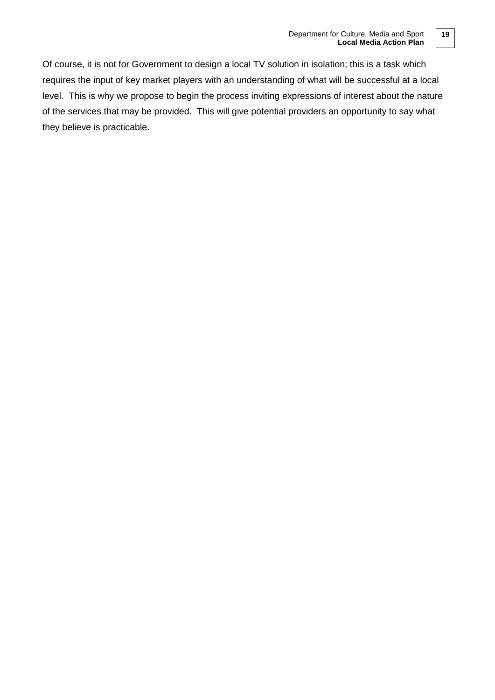Of course, it is not for Government to design a local TV solution in isolation; this is a task which requires the input of key market players with an understanding of what will be successful at a local level. This is why we propose to begin the process inviting expressions of interest about the nature of the services that may be provided. This will give potential providers an opportunity to say what they believe is practicable.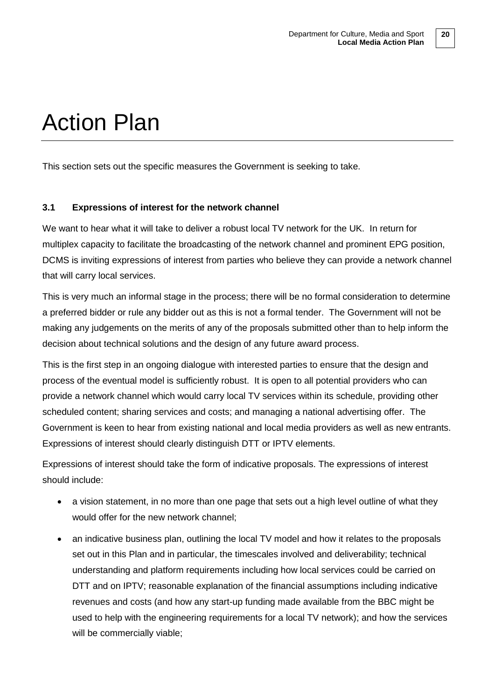# Action Plan

<span id="page-19-0"></span>This section sets out the specific measures the Government is seeking to take.

## **3.1 Expressions of interest for the network channel**

We want to hear what it will take to deliver a robust local TV network for the UK. In return for multiplex capacity to facilitate the broadcasting of the network channel and prominent EPG position, DCMS is inviting expressions of interest from parties who believe they can provide a network channel that will carry local services.

This is very much an informal stage in the process; there will be no formal consideration to determine a preferred bidder or rule any bidder out as this is not a formal tender. The Government will not be making any judgements on the merits of any of the proposals submitted other than to help inform the decision about technical solutions and the design of any future award process.

This is the first step in an ongoing dialogue with interested parties to ensure that the design and process of the eventual model is sufficiently robust. It is open to all potential providers who can provide a network channel which would carry local TV services within its schedule, providing other scheduled content; sharing services and costs; and managing a national advertising offer. The Government is keen to hear from existing national and local media providers as well as new entrants. Expressions of interest should clearly distinguish DTT or IPTV elements.

Expressions of interest should take the form of indicative proposals. The expressions of interest should include:

- a vision statement, in no more than one page that sets out a high level outline of what they would offer for the new network channel;
- an indicative business plan, outlining the local TV model and how it relates to the proposals set out in this Plan and in particular, the timescales involved and deliverability; technical understanding and platform requirements including how local services could be carried on DTT and on IPTV; reasonable explanation of the financial assumptions including indicative revenues and costs (and how any start-up funding made available from the BBC might be used to help with the engineering requirements for a local TV network); and how the services will be commercially viable;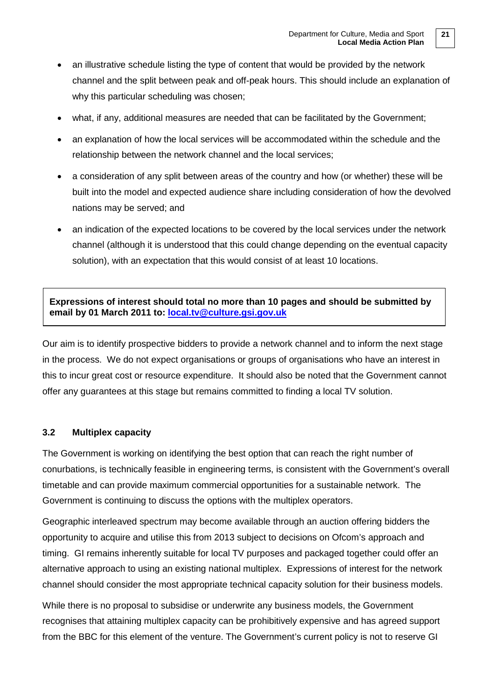- an illustrative schedule listing the type of content that would be provided by the network channel and the split between peak and off-peak hours. This should include an explanation of why this particular scheduling was chosen;
- what, if any, additional measures are needed that can be facilitated by the Government;
- an explanation of how the local services will be accommodated within the schedule and the relationship between the network channel and the local services;
- a consideration of any split between areas of the country and how (or whether) these will be built into the model and expected audience share including consideration of how the devolved nations may be served; and
- an indication of the expected locations to be covered by the local services under the network channel (although it is understood that this could change depending on the eventual capacity solution), with an expectation that this would consist of at least 10 locations.

**Expressions of interest should total no more than 10 pages and should be submitted by email by 01 March 2011 to: [local.tv@culture.gsi.gov.uk](mailto:local.tv@culture.gsi.gov.uk)**

Our aim is to identify prospective bidders to provide a network channel and to inform the next stage in the process. We do not expect organisations or groups of organisations who have an interest in this to incur great cost or resource expenditure. It should also be noted that the Government cannot offer any guarantees at this stage but remains committed to finding a local TV solution.

## <span id="page-20-0"></span>**3.2 Multiplex capacity**

The Government is working on identifying the best option that can reach the right number of conurbations, is technically feasible in engineering terms, is consistent with the Government's overall timetable and can provide maximum commercial opportunities for a sustainable network. The Government is continuing to discuss the options with the multiplex operators.

Geographic interleaved spectrum may become available through an auction offering bidders the opportunity to acquire and utilise this from 2013 subject to decisions on Ofcom's approach and timing. GI remains inherently suitable for local TV purposes and packaged together could offer an alternative approach to using an existing national multiplex. Expressions of interest for the network channel should consider the most appropriate technical capacity solution for their business models.

While there is no proposal to subsidise or underwrite any business models, the Government recognises that attaining multiplex capacity can be prohibitively expensive and has agreed support from the BBC for this element of the venture. The Government's current policy is not to reserve GI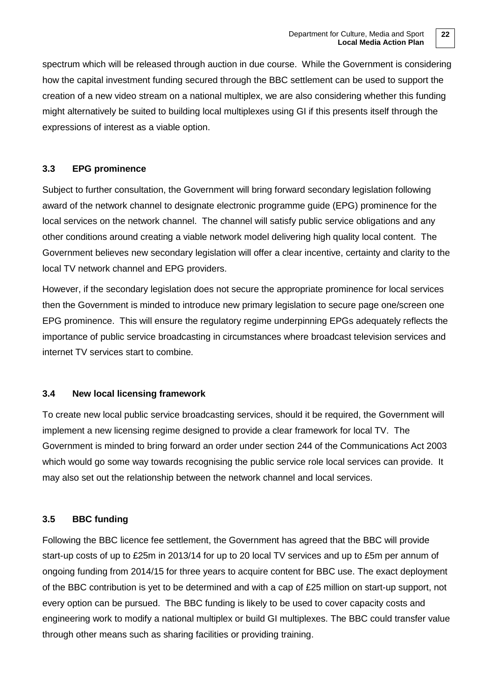spectrum which will be released through auction in due course. While the Government is considering how the capital investment funding secured through the BBC settlement can be used to support the creation of a new video stream on a national multiplex, we are also considering whether this funding might alternatively be suited to building local multiplexes using GI if this presents itself through the expressions of interest as a viable option.

## <span id="page-21-0"></span>**3.3 EPG prominence**

Subject to further consultation, the Government will bring forward secondary legislation following award of the network channel to designate electronic programme guide (EPG) prominence for the local services on the network channel. The channel will satisfy public service obligations and any other conditions around creating a viable network model delivering high quality local content. The Government believes new secondary legislation will offer a clear incentive, certainty and clarity to the local TV network channel and EPG providers.

However, if the secondary legislation does not secure the appropriate prominence for local services then the Government is minded to introduce new primary legislation to secure page one/screen one EPG prominence. This will ensure the regulatory regime underpinning EPGs adequately reflects the importance of public service broadcasting in circumstances where broadcast television services and internet TV services start to combine.

### <span id="page-21-1"></span>**3.4 New local licensing framework**

To create new local public service broadcasting services, should it be required, the Government will implement a new licensing regime designed to provide a clear framework for local TV. The Government is minded to bring forward an order under section 244 of the Communications Act 2003 which would go some way towards recognising the public service role local services can provide. It may also set out the relationship between the network channel and local services.

## <span id="page-21-2"></span>**3.5 BBC funding**

Following the BBC licence fee settlement, the Government has agreed that the BBC will provide start-up costs of up to £25m in 2013/14 for up to 20 local TV services and up to £5m per annum of ongoing funding from 2014/15 for three years to acquire content for BBC use. The exact deployment of the BBC contribution is yet to be determined and with a cap of £25 million on start-up support, not every option can be pursued. The BBC funding is likely to be used to cover capacity costs and engineering work to modify a national multiplex or build GI multiplexes. The BBC could transfer value through other means such as sharing facilities or providing training.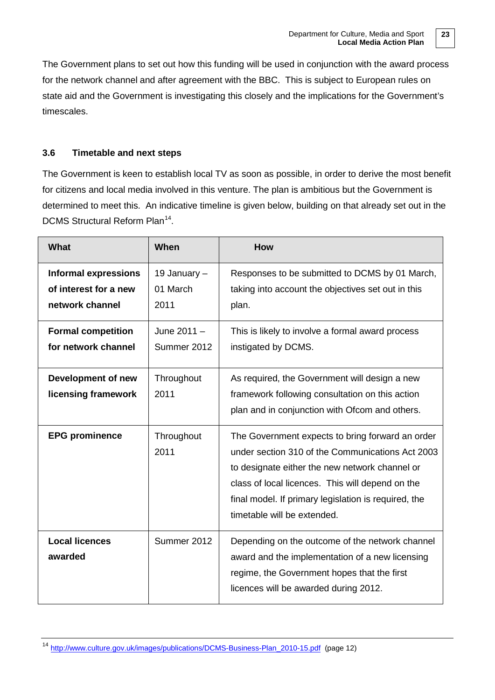The Government plans to set out how this funding will be used in conjunction with the award process for the network channel and after agreement with the BBC. This is subject to European rules on state aid and the Government is investigating this closely and the implications for the Government's timescales.

## <span id="page-22-0"></span>**3.6 Timetable and next steps**

The Government is keen to establish local TV as soon as possible, in order to derive the most benefit for citizens and local media involved in this venture. The plan is ambitious but the Government is determined to meet this. An indicative timeline is given below, building on that already set out in the DCMS Structural Reform Plan<sup>14</sup>.

| <b>What</b>                                                             | When                             | <b>How</b>                                                                                                                                                                                                                                                                                        |
|-------------------------------------------------------------------------|----------------------------------|---------------------------------------------------------------------------------------------------------------------------------------------------------------------------------------------------------------------------------------------------------------------------------------------------|
| <b>Informal expressions</b><br>of interest for a new<br>network channel | 19 January -<br>01 March<br>2011 | Responses to be submitted to DCMS by 01 March,<br>taking into account the objectives set out in this<br>plan.                                                                                                                                                                                     |
| <b>Formal competition</b><br>for network channel                        | June 2011 -<br>Summer 2012       | This is likely to involve a formal award process<br>instigated by DCMS.                                                                                                                                                                                                                           |
| <b>Development of new</b><br>licensing framework                        | Throughout<br>2011               | As required, the Government will design a new<br>framework following consultation on this action<br>plan and in conjunction with Ofcom and others.                                                                                                                                                |
| <b>EPG prominence</b>                                                   | Throughout<br>2011               | The Government expects to bring forward an order<br>under section 310 of the Communications Act 2003<br>to designate either the new network channel or<br>class of local licences. This will depend on the<br>final model. If primary legislation is required, the<br>timetable will be extended. |
| <b>Local licences</b><br>awarded                                        | Summer 2012                      | Depending on the outcome of the network channel<br>award and the implementation of a new licensing<br>regime, the Government hopes that the first<br>licences will be awarded during 2012.                                                                                                        |

<span id="page-22-1"></span><sup>14</sup> [http://www.culture.gov.uk/images/publications/DCMS-Business-Plan\\_2010-15.pdf](http://www.culture.gov.uk/images/publications/DCMS-Business-Plan_2010-15.pdf) (page 12)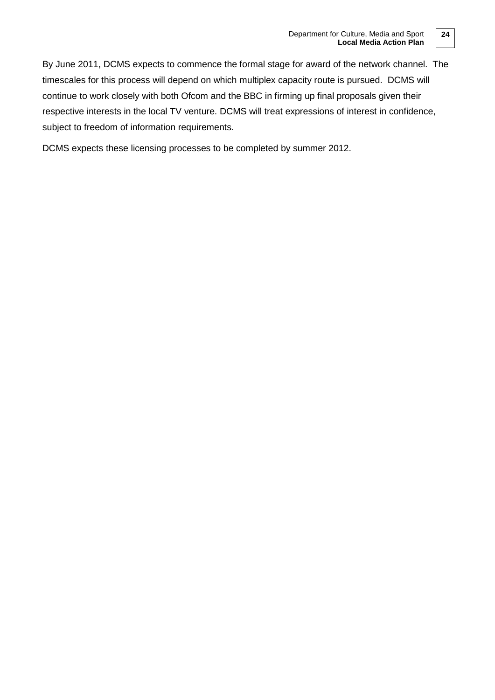By June 2011, DCMS expects to commence the formal stage for award of the network channel. The timescales for this process will depend on which multiplex capacity route is pursued. DCMS will continue to work closely with both Ofcom and the BBC in firming up final proposals given their respective interests in the local TV venture. DCMS will treat expressions of interest in confidence, subject to freedom of information requirements.

DCMS expects these licensing processes to be completed by summer 2012.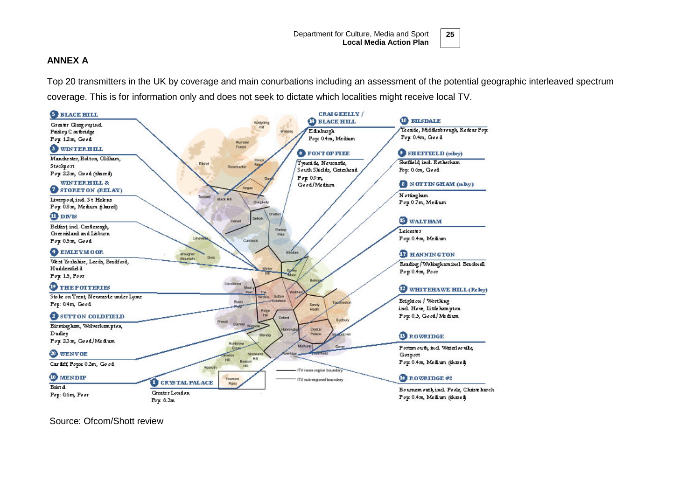## **ANNEX A**

Top 20 transmitters in the UK by coverage and main conurbations including an assessment of the potential geographic interleaved spectrum coverage. This is for information only and does not seek to dictate which localities might receive local TV.

<span id="page-24-0"></span>

Source: Ofcom/Shott review